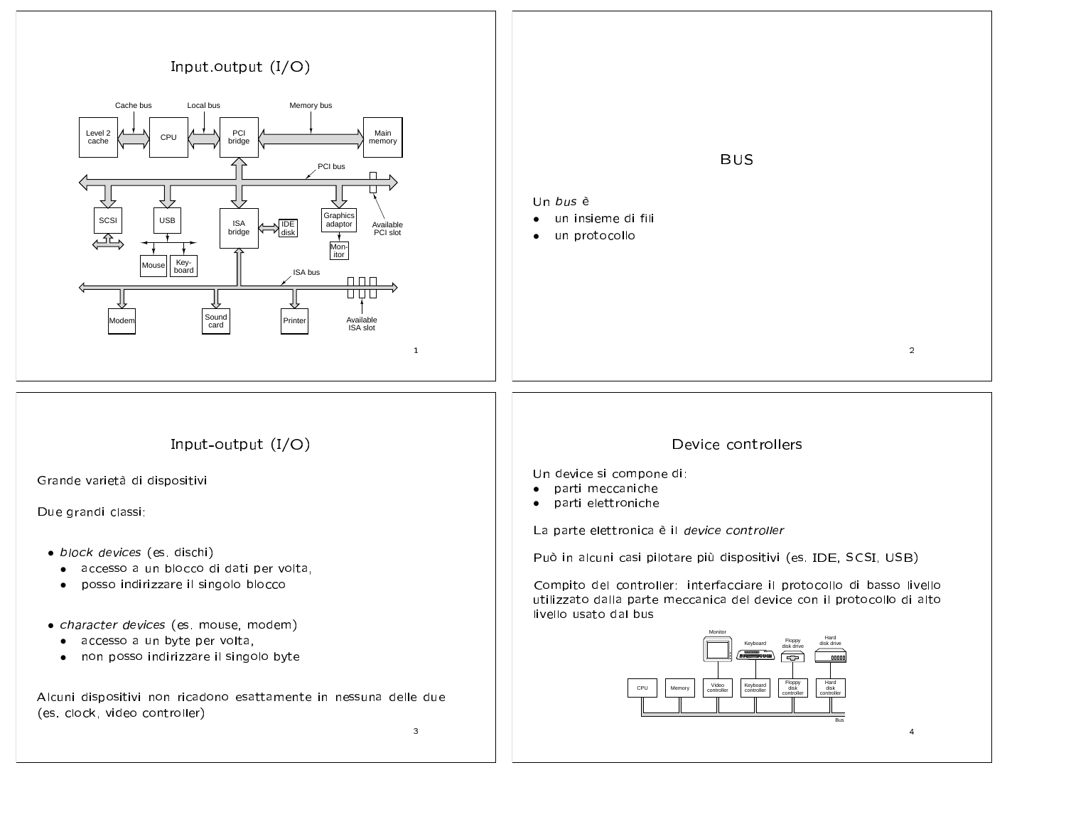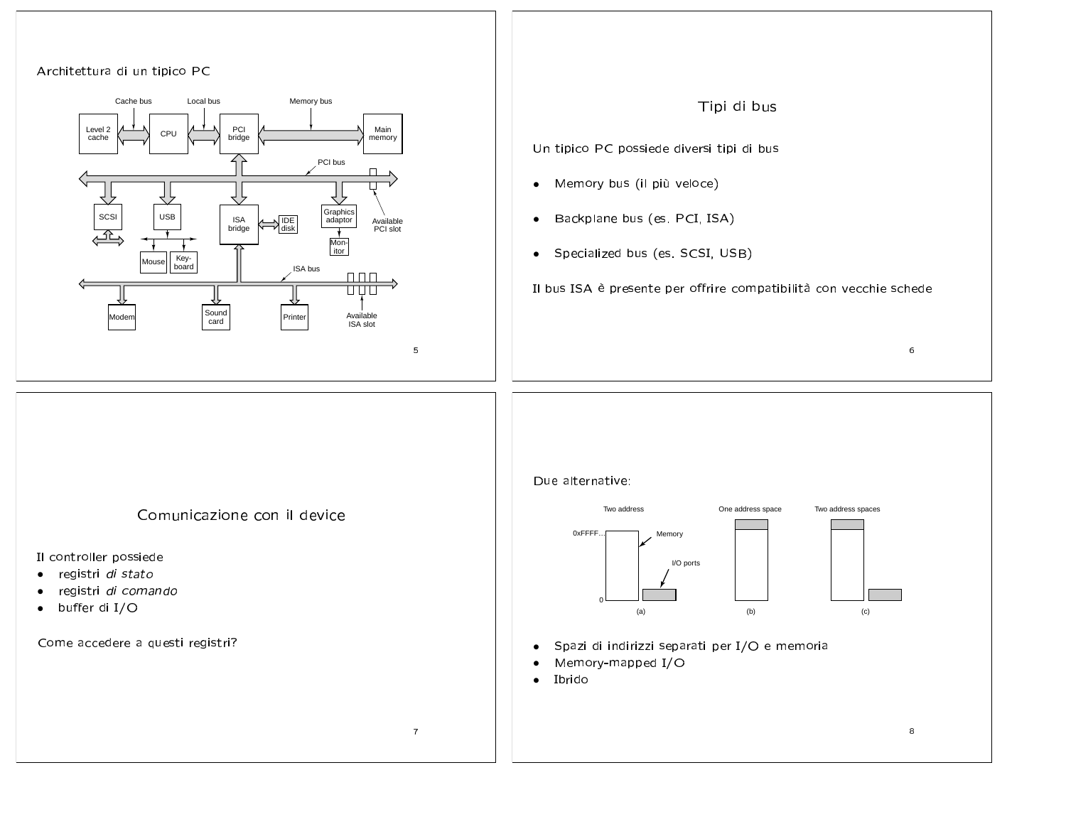





Comunicazione con il device

Il controller possiede

- registri di stato  $\bullet$
- registri di comando  $\bullet$
- buffer di I/O  $\bullet$

Come accedere a questi registri?



- Spazi di indirizzi separati per I/O e memoria  $\bullet$
- Memory-mapped I/O  $\bullet$
- Ibrido  $\bullet$

 $\overline{7}$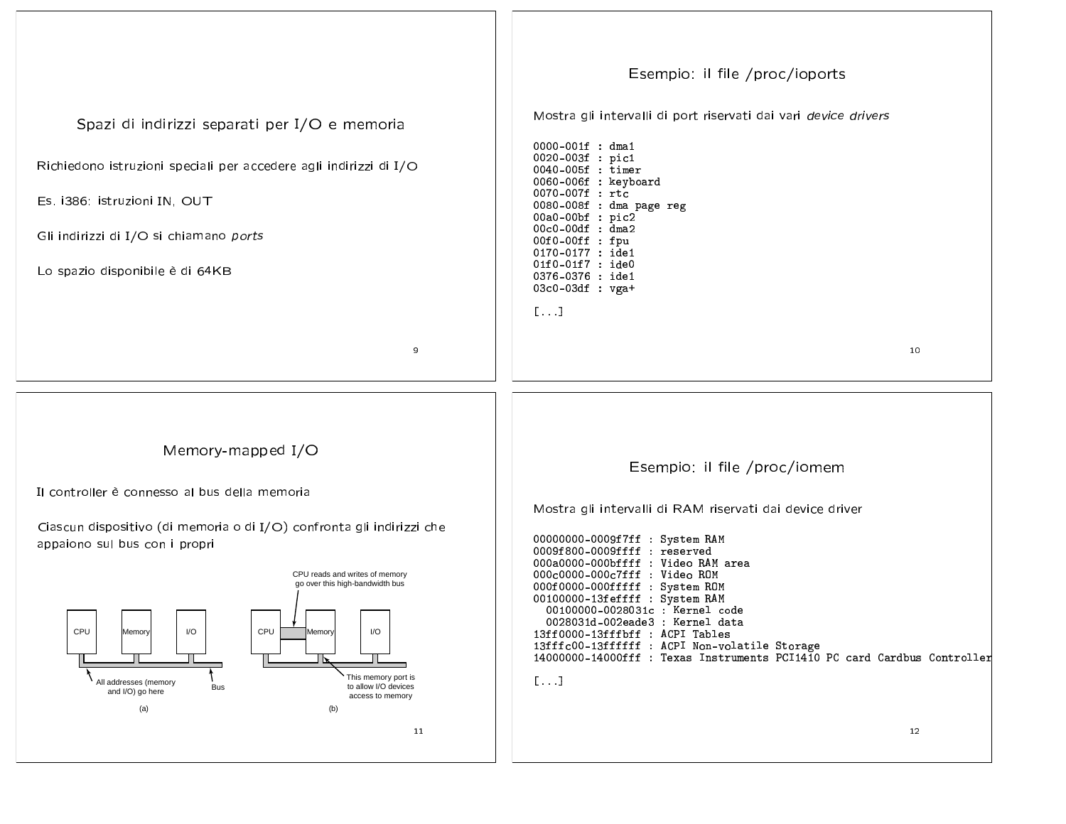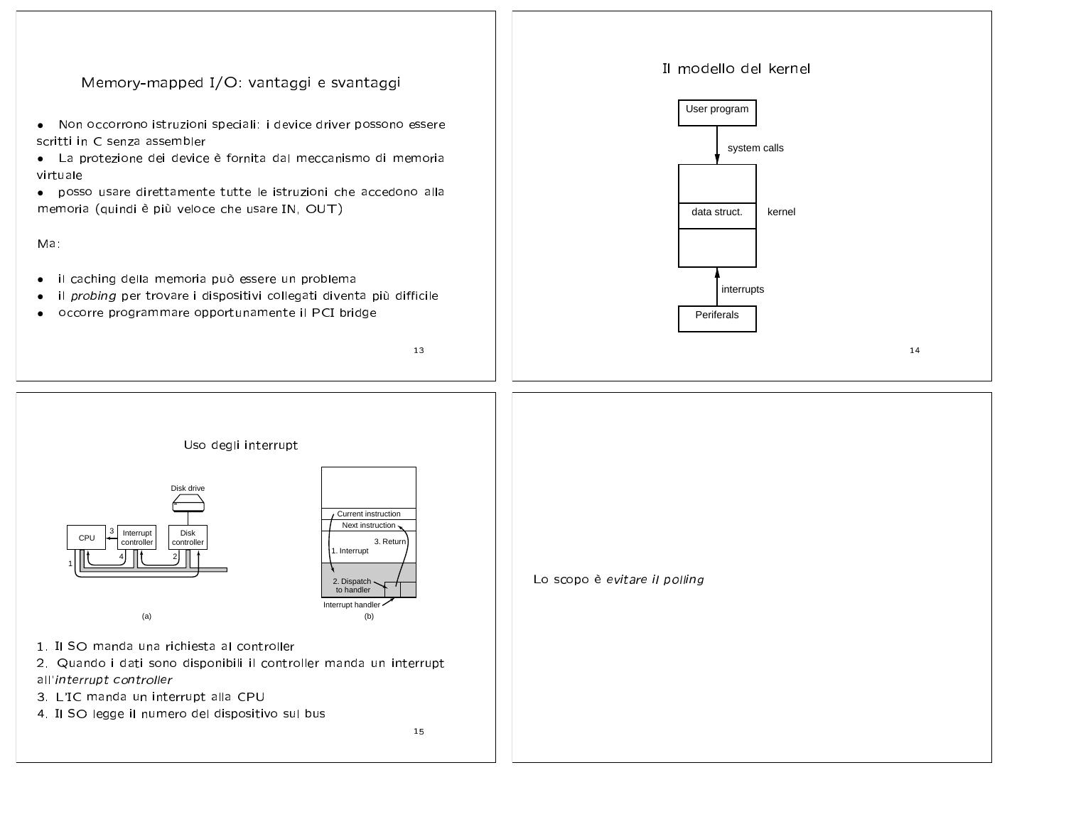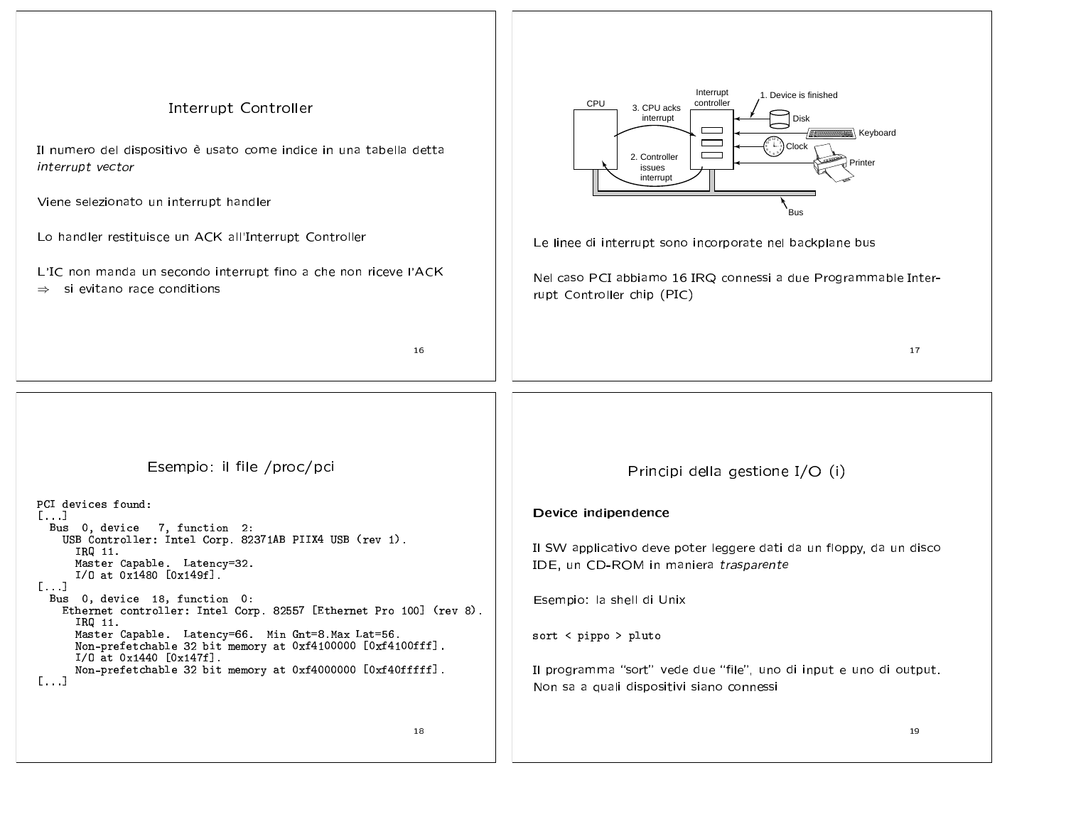| <b>Interrupt Controller</b><br>Il numero del dispositivo è usato come indice in una tabella detta<br>interrupt vector<br>Viene selezionato un interrupt handler<br>Lo handler restituisce un ACK all'Interrupt Controller<br>L'IC non manda un secondo interrupt fino a che non riceve l'ACK<br>si evitano race conditions<br>$\Rightarrow$<br>16 | Interrupt<br>1. Device is finished<br>CPU<br>controller<br>3. CPU acks<br>interrupt<br>Disk<br>Keyboard<br>$\sim$<br>$\sum_{i=1}^{n} \frac{1}{i}$ Clock<br>2. Controller<br>Printer<br>issues<br>interrupt<br>Bus<br>Le linee di interrupt sono incorporate nel backplane bus<br>Nel caso PCI abbiamo 16 IRQ connessi a due Programmable Inter-<br>rupt Controller chip (PIC) |  |  |  |  |  |
|---------------------------------------------------------------------------------------------------------------------------------------------------------------------------------------------------------------------------------------------------------------------------------------------------------------------------------------------------|-------------------------------------------------------------------------------------------------------------------------------------------------------------------------------------------------------------------------------------------------------------------------------------------------------------------------------------------------------------------------------|--|--|--|--|--|
|                                                                                                                                                                                                                                                                                                                                                   | 17                                                                                                                                                                                                                                                                                                                                                                            |  |  |  |  |  |
| Esempio: il file /proc/pci<br>PCI devices found:<br>[]<br>Bus 0, device 7, function 2:<br>USB Controller: Intel Corp. 82371AB PIIX4 USB (rev 1).<br>IRQ 11.<br>Master Capable. Latency=32.<br>I/O at 0x1480 [0x149f].<br>$[\ldots]$                                                                                                               | Principi della gestione I/O (i)<br>Device indipendence<br>Il SW applicativo deve poter leggere dati da un floppy, da un disco<br>IDE, un CD-ROM in maniera trasparente                                                                                                                                                                                                        |  |  |  |  |  |
| Bus 0, device 18, function 0:<br>Ethernet controller: Intel Corp. 82557 [Ethernet Pro 100] (rev 8).<br>IRQ 11.<br>Master Capable. Latency=66. Min Gnt=8.Max Lat=56.<br>Non-prefetchable 32 bit memory at 0xf4100000 [0xf4100fff].<br>$I/O$ at $0x1440$ $[0x147f]$ .<br>Non-prefetchable 32 bit memory at 0xf4000000 [0xf40fffff].<br>[]           | Esempio: la shell di Unix<br>sort < pippo > pluto<br>Il programma "sort" vede due "file", uno di input e uno di output.<br>Non sa a quali dispositivi siano connessi                                                                                                                                                                                                          |  |  |  |  |  |
| 18                                                                                                                                                                                                                                                                                                                                                | 19                                                                                                                                                                                                                                                                                                                                                                            |  |  |  |  |  |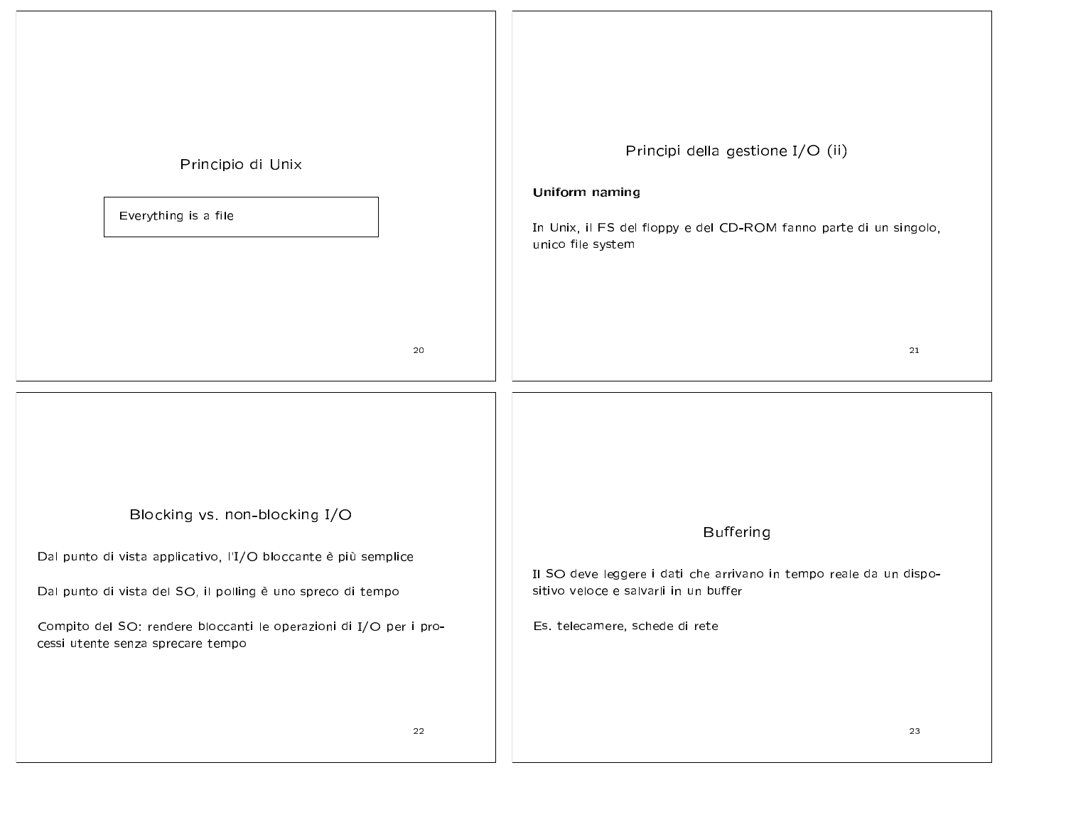| Principio di Unix<br>Everything is a file                                                                                                                                                                                                                                | Principi della gestione I/O (ii)<br>Uniform naming<br>In Unix, il FS del floppy e del CD-ROM fanno parte di un singolo,<br>unico file system                      |
|--------------------------------------------------------------------------------------------------------------------------------------------------------------------------------------------------------------------------------------------------------------------------|-------------------------------------------------------------------------------------------------------------------------------------------------------------------|
| 20                                                                                                                                                                                                                                                                       | 21                                                                                                                                                                |
| Blocking vs. non-blocking I/O<br>Dal punto di vista applicativo, l'I/O bloccante è più semplice<br>Dal punto di vista del SO, il polling è uno spreco di tempo<br>Compito del SO: rendere bloccanti le operazioni di I/O per i pro-<br>cessi utente senza sprecare tempo | <b>Buffering</b><br>Il SO deve leggere i dati che arrivano in tempo reale da un dispo-<br>sitivo veloce e salvarli in un buffer<br>Es. telecamere, schede di rete |
| 22                                                                                                                                                                                                                                                                       | 23                                                                                                                                                                |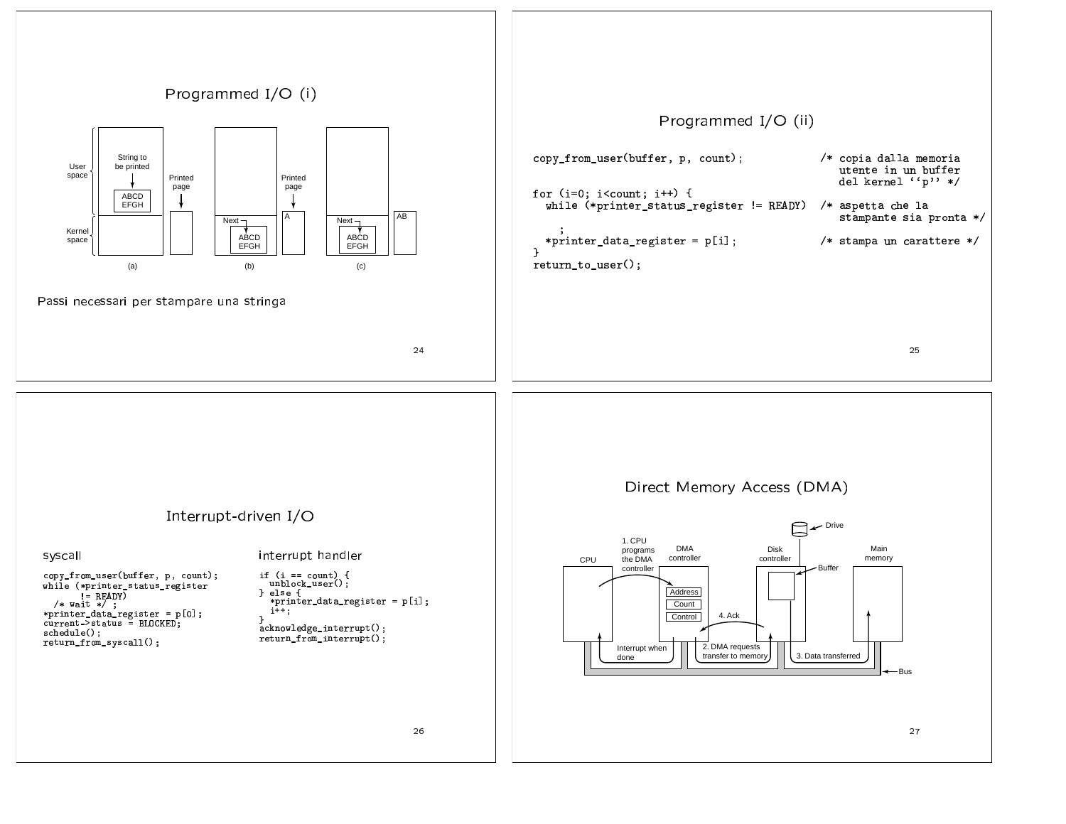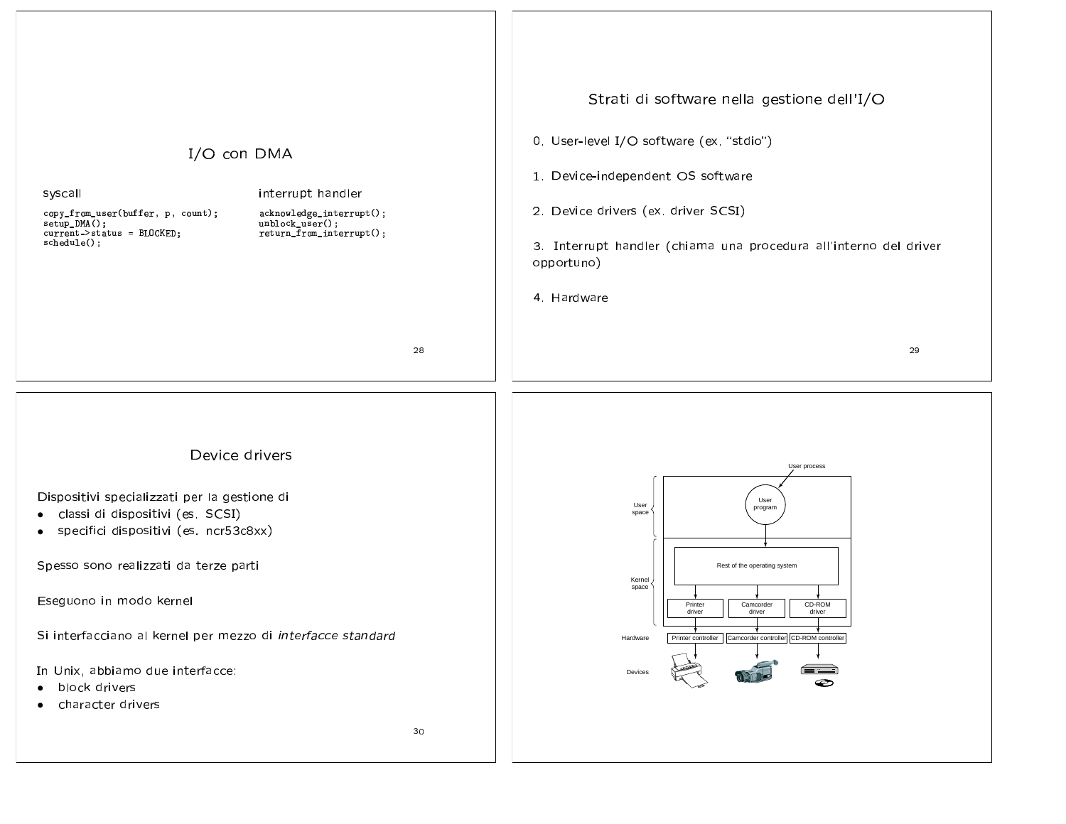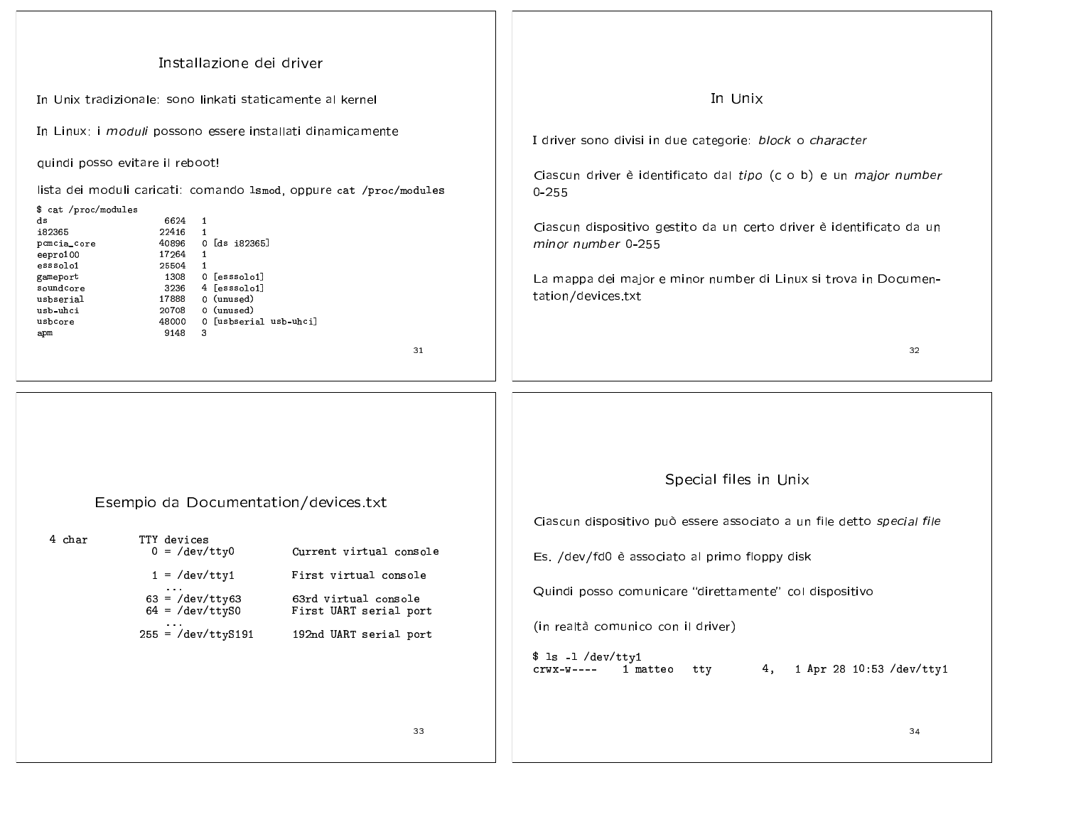| Installazione dei driver<br>In Unix tradizionale: sono linkati staticamente al kernel<br>In Linux: i moduli possono essere installati dinamicamente<br>quindi posso evitare il reboot!<br>lista dei moduli caricati: comando 1smod, oppure cat /proc/modules<br>\$ cat /proc/modules<br>6624 1<br>ds<br>i82365<br>22416 1<br>40896 0 [ds i82365]<br>pcmcia_core<br>17264<br>$\mathbf{1}$<br>eepro 100<br>25504 1<br>esssolo1<br>1308<br>0 [esssolo1]<br>gameport<br>4 [esssolo1]<br>soundcore<br>3236<br>0 (unused)<br>17888<br>usbserial<br>20708<br>0 (unused)<br>usb uhci<br>48000 0 [usbserial usb-uhci]<br>usbcore<br>9148<br>- 3<br>apm<br>31 | In Unix<br>I driver sono divisi in due categorie: block o character<br>Ciascun driver è identificato dal tipo (c o b) e un major number<br>$0 - 255$<br>Ciascun dispositivo gestito da un certo driver è identificato da un<br>minor number 0-255<br>La mappa dei major e minor number di Linux si trova in Documen-<br>tation/devices.txt<br>32 |
|-----------------------------------------------------------------------------------------------------------------------------------------------------------------------------------------------------------------------------------------------------------------------------------------------------------------------------------------------------------------------------------------------------------------------------------------------------------------------------------------------------------------------------------------------------------------------------------------------------------------------------------------------------|--------------------------------------------------------------------------------------------------------------------------------------------------------------------------------------------------------------------------------------------------------------------------------------------------------------------------------------------------|
| Esempio da Documentation/devices.txt<br>4 char<br>TTY devices<br>$0 = /dev/tty0$<br>Current virtual console<br>$1 = /dev/tty1$<br>First virtual console<br>$63 = /dev/tty63$<br>63rd virtual console<br>$64 = /dev/ttyS0$<br>First UART serial port<br>$\cdot \cdot \cdot$<br>$255 = /dev/ttyS191$<br>192nd UART serial port<br>33                                                                                                                                                                                                                                                                                                                  | Special files in Unix<br>Ciascun dispositivo può essere associato a un file detto special file<br>Es. /dev/fd0 è associato al primo floppy disk<br>Quindi posso comunicare "direttamente" col dispositivo<br>(in realtà comunico con il driver)<br>$$ 1s -1 /dev/tty1$<br>4, 1 Apr 28 10:53 /dev/tty1<br>1 matteo tty<br>$crwx-w---$<br>34       |